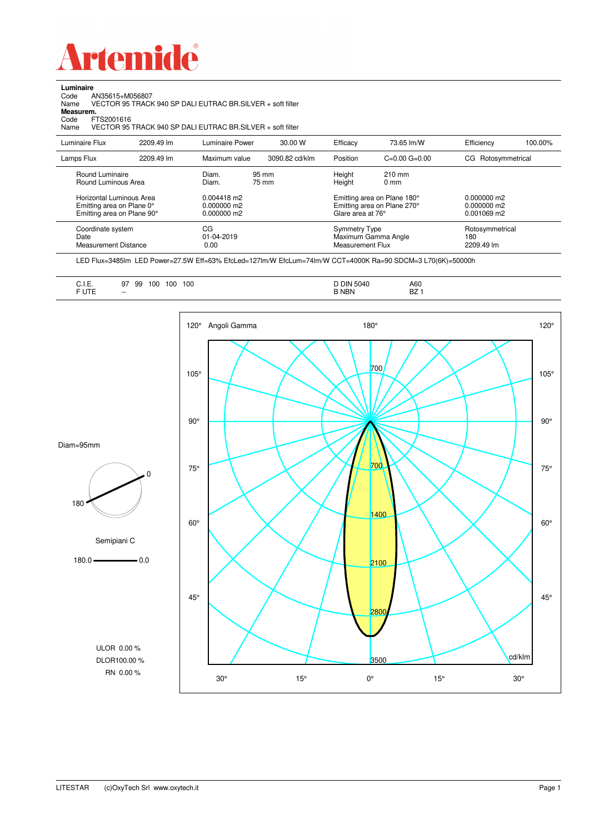

Code AN35615+M056807 Name VECTOR 95 TRACK 940 SP DALI EUTRAC BR.SILVER + soft filter

**Luminaire**<br>Code *A*<br>Name \

**Measurem.**

| Code<br>FTS2001616<br>Name                                         |            | VECTOR 95 TRACK 940 SP DALL EUTRAC BR SILVER + soft filter |                |                                          |                                                           |                                      |         |
|--------------------------------------------------------------------|------------|------------------------------------------------------------|----------------|------------------------------------------|-----------------------------------------------------------|--------------------------------------|---------|
| Luminaire Flux                                                     | 2209.49 lm | Luminaire Power                                            | 30.00 W        | Efficacy                                 | 73.65 lm/W                                                | Efficiency                           | 100.00% |
| Lamps Flux                                                         | 2209.49 lm | Maximum value                                              | 3090.82 cd/klm | Position                                 | $C=0.00$ $G=0.00$                                         | CG Rotosymmetrical                   |         |
| Round Luminaire<br>Round Luminous Area<br>Horizontal Luminous Area |            | Diam.<br>Diam.<br>$0.004418$ m2                            | 95 mm<br>75 mm | Height<br>Height                         | $210$ mm<br>$0 \text{ mm}$<br>Emitting area on Plane 180° | $0.000000$ m2                        |         |
| Emitting area on Plane 0°<br>Emitting area on Plane 90°            |            | 0.000000 m2<br>0.000000 m2                                 |                | Glare area at 76°                        | Emitting area on Plane 270°                               | 0.000000 m2<br>0.001069 m2           |         |
| Coordinate system<br>Date<br><b>Measurement Distance</b>           |            | СG<br>$01 - 04 - 2019$<br>0.00                             |                | <b>Symmetry Type</b><br>Measurement Flux | Maximum Gamma Angle                                       | Rotosymmetrical<br>180<br>2209.49 lm |         |

LED Flux=3485lm LED Power=27.5W Eff=63% EfcLed=127lm/W EfcLum=74lm/W CCT=4000K Ra=90 SDCM=3 L70(6K)=50000h